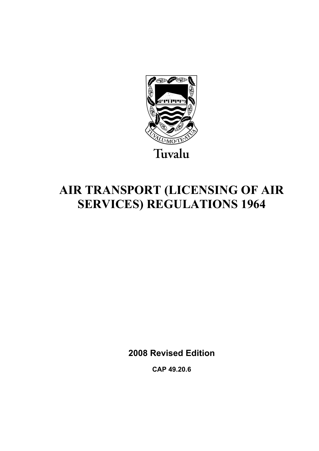

# **AIR TRANSPORT (LICENSING OF AIR SERVICES) REGULATIONS 1964**

**2008 Revised Edition** 

**CAP 49.20.6**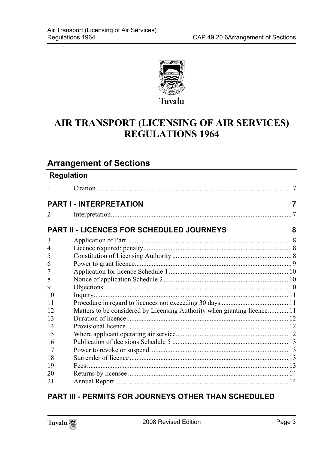

# **AIR TRANSPORT (LICENSING OF AIR SERVICES) REGULATIONS 1964**

## **Arrange[ment of Sections](#page-6-0)**

|    | <b>Regulation</b>                                                        |    |
|----|--------------------------------------------------------------------------|----|
| 1  |                                                                          | -7 |
|    | <b>PART I - INTERPRETATION</b>                                           | 7  |
| 2  |                                                                          |    |
|    | <b>PART II - LICENCES FOR SCHEDULED JOURNEYS</b>                         | 8  |
| 3  |                                                                          |    |
| 4  |                                                                          |    |
| 5  |                                                                          |    |
| 6  |                                                                          |    |
| 7  |                                                                          |    |
| 8  |                                                                          |    |
| 9  |                                                                          |    |
| 10 |                                                                          |    |
| 11 |                                                                          |    |
| 12 | Matters to be considered by Licensing Authority when granting licence 11 |    |
| 13 |                                                                          |    |
| 14 |                                                                          |    |
| 15 |                                                                          |    |
| 16 |                                                                          |    |
| 17 |                                                                          |    |
| 18 |                                                                          |    |
| 19 |                                                                          |    |
| 20 |                                                                          |    |
| 21 |                                                                          |    |
|    |                                                                          |    |

## **PART III - PERMITS FOR JOURNEYS OTHER THAN SCHEDULED**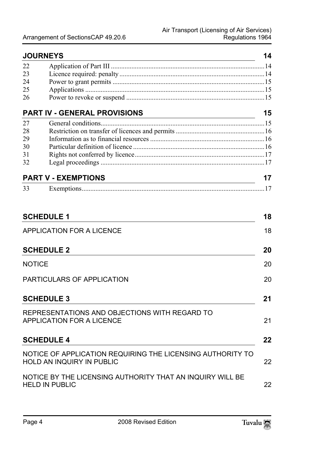| <b>JOURNEYS</b> |                                     | 14 |
|-----------------|-------------------------------------|----|
| 22              |                                     |    |
| 23              |                                     |    |
| 24              |                                     |    |
| 25              |                                     |    |
| 26              |                                     |    |
|                 | <b>PART IV - GENERAL PROVISIONS</b> | 15 |
| 27              |                                     |    |
| 28              |                                     |    |
| 29              |                                     |    |
| 30              |                                     |    |
| 31              |                                     |    |
| 32              |                                     |    |
|                 | <b>PART V - EXEMPTIONS</b>          | 17 |
| 33              |                                     | 17 |

| <b>SCHEDULE 1</b>                                                                              | 18 |
|------------------------------------------------------------------------------------------------|----|
| APPLICATION FOR A LICENCE                                                                      | 18 |
| <b>SCHEDULE 2</b>                                                                              | 20 |
| <b>NOTICE</b>                                                                                  | 20 |
| PARTICULARS OF APPLICATION                                                                     | 20 |
| <b>SCHEDULE 3</b>                                                                              | 21 |
| REPRESENTATIONS AND OBJECTIONS WITH REGARD TO<br>APPLICATION FOR A LICENCE                     | 21 |
| <b>SCHEDULE 4</b>                                                                              | 22 |
| NOTICE OF APPLICATION REQUIRING THE LICENSING AUTHORITY TO<br><b>HOLD AN INQUIRY IN PUBLIC</b> | 22 |
| NOTICE BY THE LICENSING AUTHORITY THAT AN INQUIRY WILL BE<br><b>HELD IN PUBLIC</b>             | 22 |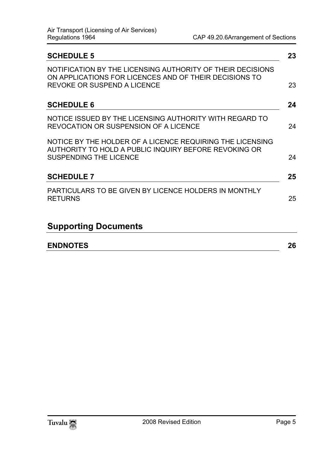| <b>SCHEDULE 5</b>                                                                                                                                          | 23 |
|------------------------------------------------------------------------------------------------------------------------------------------------------------|----|
| NOTIFICATION BY THE LICENSING AUTHORITY OF THEIR DECISIONS<br>ON APPLICATIONS FOR LICENCES AND OF THEIR DECISIONS TO<br><b>REVOKE OR SUSPEND A LICENCE</b> | 23 |
| <b>SCHEDULE 6</b>                                                                                                                                          | 24 |
| NOTICE ISSUED BY THE LICENSING AUTHORITY WITH REGARD TO<br>REVOCATION OR SUSPENSION OF A LICENCE                                                           | 24 |
| NOTICE BY THE HOLDER OF A LICENCE REQUIRING THE LICENSING<br>AUTHORITY TO HOLD A PUBLIC INQUIRY BEFORE REVOKING OR<br><b>SUSPENDING THE LICENCE</b>        | 24 |
| <b>SCHEDULE 7</b>                                                                                                                                          | 25 |
| PARTICULARS TO BE GIVEN BY LICENCE HOLDERS IN MONTHLY<br><b>RETURNS</b>                                                                                    | 25 |
| <b>Supporting Documents</b>                                                                                                                                |    |
| <b>ENDNOTES</b>                                                                                                                                            | 26 |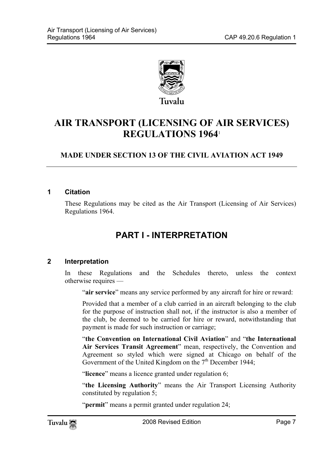

# **AIR TRANSPORT (LICENSING OF AIR SERVICES) REGULATIONS 1964**<sup>1</sup>

### **MADE UNDER SECTION 13 OF THE CIVIL AVIATION ACT 1949**

#### **1 Citation**

<span id="page-6-1"></span>These Regulations may be cited as the Air Transport (Licensing of Air Services) Regulations 1964.

# <span id="page-6-0"></span>**PART I - INTERPRETATION**

#### **2 Interpretation**

In these Regulations and the Schedules thereto, unless the context otherwise requires —

"**air service**" means any service performed by any aircraft for hire or reward:

Provided that a member of a club carried in an aircraft belonging to the club for the purpose of instruction shall not, if the instructor is also a member of the club, be deemed to be carried for hire or reward, notwithstanding that payment is made for such instruction or carriage;

"**the Convention on International Civil Aviation**" and "**the International Air Services Transit Agreement**" mean, respectively, the Convention and Agreement so styled which were signed at Chicago on behalf of the Government of the United Kingdom on the  $7<sup>th</sup>$  December 1944;

"**licence**" means a licence granted under regulation 6;

"**the Licensing Authority**" means the Air Transport Licensing Authority constituted by regulation 5;

"**permit**" means a permit granted under regulation 24;

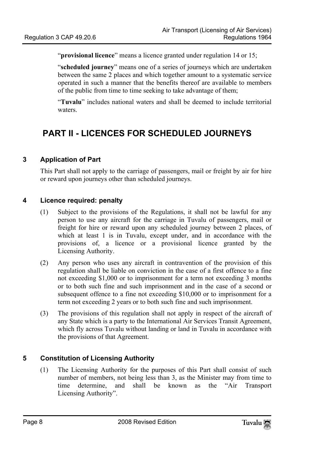"**provisional licence**" means a licence granted under regulation 14 or 15;

"**scheduled journey**" means one of a series of journeys which are undertaken between the same 2 places and which together amount to a systematic service operated in such a manner that the benefits thereof are available to members of the public from time to time seeking to take advantage of them;

<span id="page-7-1"></span><span id="page-7-0"></span>"**Tuvalu**" includes national waters and shall be deemed to include territorial waters.

# **PART II - LICENCES FOR SCHEDULED JOURNEYS**

#### **3 Application of Part**

<span id="page-7-2"></span>This Part shall not apply to the carriage of passengers, mail or freight by air for hire or reward upon journeys other than scheduled journeys.

#### **4 Licence required: penalty**

- (1) Subject to the provisions of the Regulations, it shall not be lawful for any person to use any aircraft for the carriage in Tuvalu of passengers, mail or freight for hire or reward upon any scheduled journey between 2 places, of which at least 1 is in Tuvalu, except under, and in accordance with the provisions of, a licence or a provisional licence granted by the Licensing Authority.
- (2) Any person who uses any aircraft in contravention of the provision of this regulation shall be liable on conviction in the case of a first offence to a fine not exceeding \$1,000 or to imprisonment for a term not exceeding 3 months or to both such fine and such imprisonment and in the case of a second or subsequent offence to a fine not exceeding \$10,000 or to imprisonment for a term not exceeding 2 years or to both such fine and such imprisonment.
- <span id="page-7-3"></span>(3) The provisions of this regulation shall not apply in respect of the aircraft of any State which is a party to the International Air Services Transit Agreement, which fly across Tuvalu without landing or land in Tuvalu in accordance with the provisions of that Agreement.

#### **5 Constitution of Licensing Authority**

(1) The Licensing Authority for the purposes of this Part shall consist of such number of members, not being less than 3, as the Minister may from time to time determine, and shall be known as the "Air Transport Licensing Authority".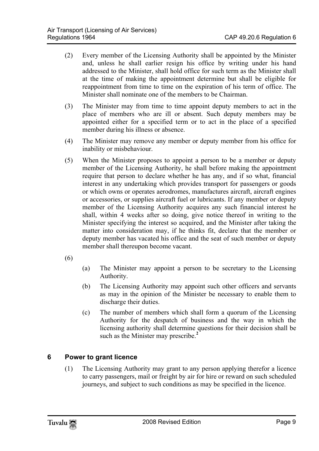- (2) Every member of the Licensing Authority shall be appointed by the Minister and, unless he shall earlier resign his office by writing under his hand addressed to the Minister, shall hold office for such term as the Minister shall at the time of making the appointment determine but shall be eligible for reappointment from time to time on the expiration of his term of office. The Minister shall nominate one of the members to be Chairman.
- (3) The Minister may from time to time appoint deputy members to act in the place of members who are ill or absent. Such deputy members may be appointed either for a specified term or to act in the place of a specified member during his illness or absence.
- (4) The Minister may remove any member or deputy member from his office for inability or misbehaviour.
- (5) When the Minister proposes to appoint a person to be a member or deputy member of the Licensing Authority, he shall before making the appointment require that person to declare whether he has any, and if so what, financial interest in any undertaking which provides transport for passengers or goods or which owns or operates aerodromes, manufactures aircraft, aircraft engines or accessories, or supplies aircraft fuel or lubricants. If any member or deputy member of the Licensing Authority acquires any such financial interest he shall, within 4 weeks after so doing, give notice thereof in writing to the Minister specifying the interest so acquired, and the Minister after taking the matter into consideration may, if he thinks fit, declare that the member or deputy member has vacated his office and the seat of such member or deputy member shall thereupon become vacant.

(6)

- (a) The Minister may appoint a person to be secretary to the Licensing Authority.
- (b) The Licensing Authority may appoint such other officers and servants as may in the opinion of the Minister be necess[ar](#page-25-1)y to enable them to discharge their duties.
- <span id="page-8-0"></span>(c) The number of members which shall form a quorum of the Licensing Authority for the despatch of business and the way in which the licensing authority shall determine questions for their decision shall be such as the Minister may prescribe.**<sup>2</sup>**

#### **6 Power to grant licence**

(1) The Licensing Authority may grant to any person applying therefor a licence to carry passengers, mail or freight by air for hire or reward on such scheduled journeys, and subject to such conditions as may be specified in the licence.

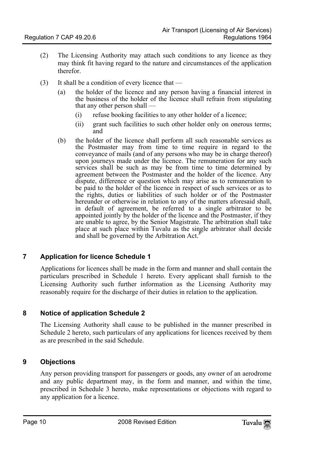- (2) The Licensing Authority may attach such conditions to any licence as they may think fit having regard to the nature and circumstances of the application therefor.
- (3) It shall be a condition of every licence that
	- (a) the holder of the licence and any person having a financial interest in the business of the holder of the licence shall refrain from stipulating that any other person shall —
		- (i) refuse booking facilities to any other holder of a licence;
		- (ii) grant such facilities to such other holder only on onerous terms; and
	- (b) the holder of the licence shall perform all such reasonable services as the Postmaster may from time to time require in regard to the conveyance of mails (and of any persons who may be in charge thereof) upon journeys made under the licence. The remuneration for any such services shall be such as may be from time to time determined by agreement between the Postmaster and the holder of the licence. Any dispute, difference or question which may arise as to remuneration to be paid to the holder of the licence in respect of such services or as to the rights, duties or liabilities of such holder or of the [P](#page-25-2)ostmaster hereunder or otherwise in relation to any of the matters aforesaid shall, in default of agreement, be referred to a single arbitrator to be appointed jointly by the holder of the licence and the Postmaster, if they are unable to agree, by the Senior Magistrate. The arbitration shall take place at such place within Tuvalu as the single arbitrator shall decide and shall be governed by the Arbitration Act.**<sup>3</sup>**

#### **7 Application for licence Schedule 1**

<span id="page-9-1"></span><span id="page-9-0"></span>Applications for licences shall be made in the form and manner and shall contain the particulars prescribed in Schedule 1 hereto. Every applicant shall furnish to the Licensing Authority such further information as the Licensing Authority may reasonably require for the discharge of their duties in relation to the application.

#### **8 Notice of application Schedule 2**

<span id="page-9-2"></span>The Licensing Authority shall cause to be published in the manner prescribed in Schedule 2 hereto, such particulars of any applications for licences received by them as are prescribed in the said Schedule.

#### **9 Objections**

Any person providing transport for passengers or goods, any owner of an aerodrome and any public department may, in the form and manner, and within the time, prescribed in Schedule 3 hereto, make representations or objections with regard to any application for a licence.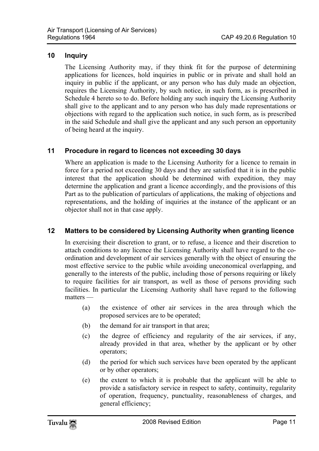#### **10 Inquiry**

<span id="page-10-1"></span><span id="page-10-0"></span>The Licensing Authority may, if they think fit for the purpose of determining applications for licences, hold inquiries in public or in private and shall hold an inquiry in public if the applicant, or any person who has duly made an objection, requires the Licensing Authority, by such notice, in such form, as is prescribed in Schedule 4 hereto so to do. Before holding any such inquiry the Licensing Authority shall give to the applicant and to any person who has duly made representations or objections with regard to the application such notice, in such form, as is prescribed in the said Schedule and shall give the applicant and any such person an opportunity of being heard at the inquiry.

#### **11 Procedure in regard to licences not exceeding 30 days**

<span id="page-10-2"></span>Where an application is made to the Licensing Authority for a licence to remain in force for a period not exceeding 30 days and they are satisfied that it is in the public interest that the application should be determined with expedition, they may determine the application and grant a licence accordingly, and the provisions of this Part as to the publication of particulars of applications, the making of objections and representations, and the holding of inquiries at the instance of the applicant or an objector shall not in that case apply.

#### **12 Matters to be considered by Licensing Authority when granting licence**

In exercising their discretion to grant, or to refuse, a licence and their discretion to attach conditions to any licence the Licensing Authority shall have regard to the coordination and development of air services generally with the object of ensuring the most effective service to the public while avoiding uneconomical overlapping, and generally to the interests of the public, including those of persons requiring or likely to require facilities for air transport, as well as those of persons providing such facilities. In particular the Licensing Authority shall have regard to the following matters —

- (a) the existence of other air services in the area through which the proposed services are to be operated;
- (b) the demand for air transport in that area;
- (c) the degree of efficiency and regularity of the air services, if any, already provided in that area, whether by the applicant or by other operators;
- (d) the period for which such services have been operated by the applicant or by other operators;
- (e) the extent to which it is probable that the applicant will be able to provide a satisfactory service in respect to safety, continuity, regularity of operation, frequency, punctuality, reasonableness of charges, and general efficiency;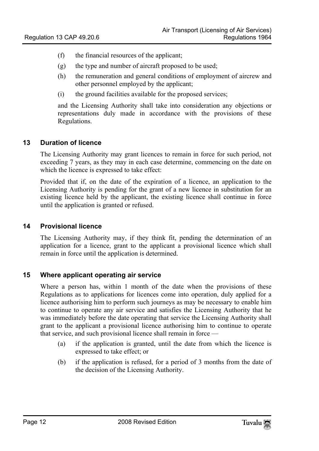- (f) the financial resources of the applicant;
- (g) the type and number of aircraft proposed to be used;
- (h) the remuneration and general conditions of employment of aircrew and other personnel employed by the applicant;
- (i) the ground facilities available for the proposed services;

<span id="page-11-0"></span>and the Licensing Authority shall take into consideration any objections or representations duly made in accordance with the provisions of these Regulations.

#### **13 Duration of licence**

The Licensing Authority may grant licences to remain in force for such period, not exceeding 7 years, as they may in each case determine, commencing on the date on which the licence is expressed to take effect:

<span id="page-11-1"></span>Provided that if, on the date of the expiration of a licence, an application to the Licensing Authority is pending for the grant of a new licence in substitution for an existing licence held by the applicant, the existing licence shall continue in force until the application is granted or refused.

#### **14 Provisional licence**

<span id="page-11-2"></span>The Licensing Authority may, if they think fit, pending the determination of an application for a licence, grant to the applicant a provisional licence which shall remain in force until the application is determined.

#### **15 Where applicant operating air service**

Where a person has, within 1 month of the date when the provisions of these Regulations as to applications for licences come into operation, duly applied for a licence authorising him to perform such journeys as may be necessary to enable him to continue to operate any air service and satisfies the Licensing Authority that he was immediately before the date operating that service the Licensing Authority shall grant to the applicant a provisional licence authorising him to continue to operate that service, and such provisional licence shall remain in force —

- (a) if the application is granted, until the date from which the licence is expressed to take effect; or
- (b) if the application is refused, for a period of 3 months from the date of the decision of the Licensing Authority.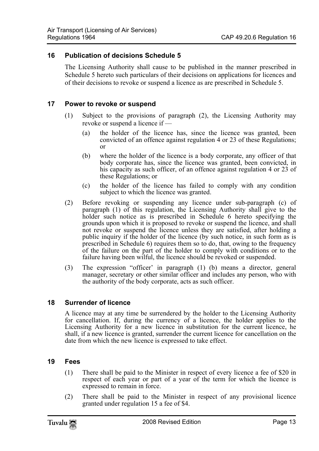#### **16 Publication of decisions Schedule 5**

<span id="page-12-1"></span><span id="page-12-0"></span>The Licensing Authority shall cause to be published in the manner prescribed in Schedule 5 hereto such particulars of their decisions on applications for licences and of their decisions to revoke or suspend a licence as are prescribed in Schedule 5.

#### **17 Power to revoke or suspend**

- (1) Subject to the provisions of paragraph (2), the Licensing Authority may revoke or suspend a licence if —
	- (a) the holder of the licence has, since the licence was granted, been convicted of an offence against regulation 4 or 23 of these Regulations; or
	- (b) where the holder of the licence is a body corporate, any officer of that body corporate has, since the licence was granted, been convicted, in his capacity as such officer, of an offence against regulation 4 or 23 of these Regulations; or
	- (c) the holder of the licence has failed to comply with any condition subject to which the licence was granted.
- (2) Before revoking or suspending any licence under sub-paragraph (c) of paragraph (1) of this regulation, the Licensing Authority shall give to the holder such notice as is prescribed in Schedule 6 hereto specifying the grounds upon which it is proposed to revoke or suspend the licence, and shall not revoke or suspend the licence unless they are satisfied, after holding a public inquiry if the holder of the licence (by such notice, in such form as is prescribed in Schedule 6) requires them so to do, that, owing to the frequency of the failure on the part of the holder to comply with conditions or to the failure having been wilful, the licence should be revoked or suspended.
- <span id="page-12-2"></span>(3) The expression "officer' in paragraph (1) (b) means a director, general manager, secretary or other similar officer and includes any person, who with the authority of the body corporate, acts as such officer.

#### **18 Surrender of licence**

<span id="page-12-3"></span>A licence may at any time be surrendered by the holder to the Licensing Authority for cancellation. If, during the currency of a licence, the holder applies to the Licensing Authority for a new licence in substitution for the current licence, he shall, if a new licence is granted, surrender the current licence for cancellation on the date from which the new licence is expressed to take effect.

#### **19 Fees**

- (1) There shall be paid to the Minister in respect of every licence a fee of \$20 in respect of each year or part of a year of the term for which the licence is expressed to remain in force.
- (2) There shall be paid to the Minister in respect of any provisional licence granted under regulation 15 a fee of \$4.

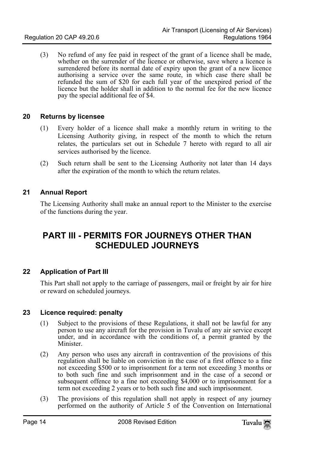<span id="page-13-0"></span>(3) No refund of any fee paid in respect of the grant of a licence shall be made, whether on the surrender of the licence or otherwise, save where a licence is surrendered before its normal date of expiry upon the grant of a new licence authorising a service over the same route, in which case there shall be refunded the sum of \$20 for each full year of the unexpired period of the licence but the holder shall in addition to the normal fee for the new licence pay the special additional fee of \$4.

#### **20 Returns by licensee**

- (1) Every holder of a licence shall make a monthly return in writing to the Licensing Authority giving, in respect of the month to which the return relates, the particulars set out in Schedule 7 hereto with regard to all air services authorised by the licence.
- <span id="page-13-1"></span>(2) Such return shall be sent to the Licensing Authority not later than 14 days after the expiration of the month to which the return relates.

#### **21 Annual Report**

<span id="page-13-2"></span>The Licensing Authority shall make an annual report to the Minister to the exercise of the functions during the year.

# <span id="page-13-3"></span>**PART III - PERMITS FOR JOURNEYS OTHER THAN SCHEDULED JOURNEYS**

#### **22 Application of Part III**

<span id="page-13-4"></span>This Part shall not apply to the carriage of passengers, mail or freight by air for hire or reward on scheduled journeys.

#### **23 Licence required: penalty**

- (1) Subject to the provisions of these Regulations, it shall not be lawful for any person to use any aircraft for the provision in Tuvalu of any air service except under, and in accordance with the conditions of, a permit granted by the Minister.
- (2) Any person who uses any aircraft in contravention of the provisions of this regulation shall be liable on conviction in the case of a first offence to a fine not exceeding \$500 or to imprisonment for a term not exceeding 3 months or to both such fine and such imprisonment and in the case of a second or subsequent offence to a fine not exceeding \$4,000 or to imprisonment for a term not exceeding 2 years or to both such fine and such imprisonment.
- (3) The provisions of this regulation shall not apply in respect of any journey performed on the authority of Article 5 of the Convention on International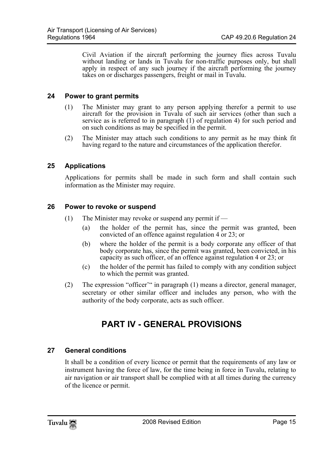<span id="page-14-0"></span>Civil Aviation if the aircraft performing the journey flies across Tuvalu without landing or lands in Tuvalu for non-traffic purposes only, but shall apply in respect of any such journey if the aircraft performing the journey takes on or discharges passengers, freight or mail in Tuvalu.

#### **24 Power to grant permits**

- (1) The Minister may grant to any person applying therefor a permit to use aircraft for the provision in Tuvalu of such air services (other than such a service as is referred to in paragraph (1) of regulation 4) for such period and on such conditions as may be specified in the permit.
- <span id="page-14-1"></span>(2) The Minister may attach such conditions to any permit as he may think fit having regard to the nature and circumstances of the application therefor.

#### **25 Applications**

<span id="page-14-2"></span>Applications for permits shall be made in such form and shall contain such information as the Minister may require.

#### **26 Power to revoke or suspend**

- (1) The Minister may revoke or suspend any permit if
	- (a) the holder of the permit has, since the permit was granted, been convicted of an offence against regulation 4 or 23; or
	- (b) where the holder of the permit is a body corporate any officer of that body corporate has, since the permit was granted, been convicted, in his capacity as such officer, of an offence against regulation 4 or 23; or
	- (c) the holder of the permit has failed to comply with any condition subject to which the permit was granted.
- (2) The expression "officer'" in paragraph (1) means a director, general manager, secretary or other similar officer and includes any person, who with the authority of the body corporate, acts as such officer.

## <span id="page-14-4"></span><span id="page-14-3"></span>**PART IV - GENERAL PROVISIONS**

#### **27 General conditions**

It shall be a condition of every licence or permit that the requirements of any law or instrument having the force of law, for the time being in force in Tuvalu, relating to air navigation or air transport shall be complied with at all times during the currency of the licence or permit.

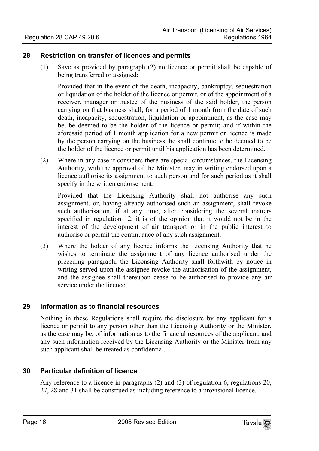#### **28 Restriction on transfer of licences and permits**

<span id="page-15-0"></span>(1) Save as provided by paragraph (2) no licence or permit shall be capable of being transferred or assigned:

Provided that in the event of the death, incapacity, bankruptcy, sequestration or liquidation of the holder of the licence or permit, or of the appointment of a receiver, manager or trustee of the business of the said holder, the person carrying on that business shall, for a period of 1 month from the date of such death, incapacity, sequestration, liquidation or appointment, as the case may be, be deemed to be the holder of the licence or permit; and if within the aforesaid period of 1 month application for a new permit or licence is made by the person carrying on the business, he shall continue to be deemed to be the holder of the licence or permit until his application has been determined.

(2) Where in any case it considers there are special circumstances, the Licensing Authority, with the approval of the Minister, may in writing endorsed upon a licence authorise its assignment to such person and for such period as it shall specify in the written endorsement:

Provided that the Licensing Authority shall not authorise any such assignment, or, having already authorised such an assignment, shall revoke such authorisation, if at any time, after considering the several matters specified in regulation 12, it is of the opinion that it would not be in the interest of the development of air transport or in the public interest to authorise or permit the continuance of any such assignment.

<span id="page-15-1"></span>(3) Where the holder of any licence informs the Licensing Authority that he wishes to terminate the assignment of any licence authorised under the preceding paragraph, the Licensing Authority shall forthwith by notice in writing served upon the assignee revoke the authorisation of the assignment, and the assignee shall thereupon cease to be authorised to provide any air service under the licence.

#### **29 Information as to financial resources**

<span id="page-15-2"></span>Nothing in these Regulations shall require the disclosure by any applicant for a licence or permit to any person other than the Licensing Authority or the Minister, as the case may be, of information as to the financial resources of the applicant, and any such information received by the Licensing Authority or the Minister from any such applicant shall be treated as confidential.

#### **30 Particular definition of licence**

Any reference to a licence in paragraphs (2) and (3) of regulation 6, regulations 20, 27, 28 and 31 shall be construed as including reference to a provisional licence.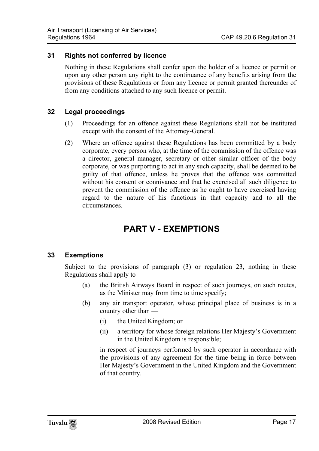#### **31 Rights not conferred by licence**

<span id="page-16-1"></span><span id="page-16-0"></span>Nothing in these Regulations shall confer upon the holder of a licence or permit or upon any other person any right to the continuance of any benefits arising from the provisions of these Regulations or from any licence or permit granted thereunder of from any conditions attached to any such licence or permit.

#### **32 Legal proceedings**

- (1) Proceedings for an offence against these Regulations shall not be instituted except with the consent of the Attorney-General.
- (2) Where an offence against these Regulations has been committed by a body corporate, every person who, at the time of the commission of the offence was a director, general manager, secretary or other similar officer of the body corporate, or was purporting to act in any such capacity, shall be deemed to be guilty of that offence, unless he proves that the offence was committed without his consent or connivance and that he exercised all such diligence to prevent the commission of the offence as he ought to have exercised having regard to the nature of his functions in that capacity and to all the circumstances.

# <span id="page-16-3"></span><span id="page-16-2"></span>**PART V - EXEMPTIONS**

#### **33 Exemptions**

Subject to the provisions of paragraph (3) or regulation 23, nothing in these Regulations shall apply to —

- (a) the British Airways Board in respect of such journeys, on such routes, as the Minister may from time to time specify;
- (b) any air transport operator, whose principal place of business is in a country other than —
	- (i) the United Kingdom; or
	- (ii) a territory for whose foreign relations Her Majesty's Government in the United Kingdom is responsible;

in respect of journeys performed by such operator in accordance with the provisions of any agreement for the time being in force between Her Majesty's Government in the United Kingdom and the Government of that country.

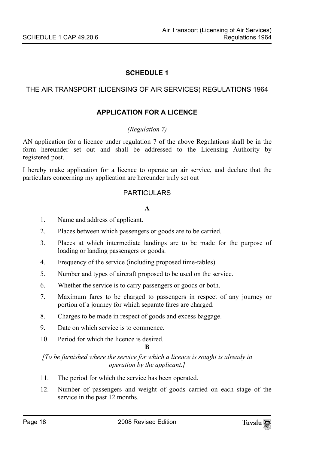#### THE AIR TRANSPORT (LICENSING OF AIR SERVICES) REGULATIONS 1964

#### <span id="page-17-1"></span>**APPLICATION FOR A LICENCE**

#### <span id="page-17-0"></span>*(Regulation 7)*

AN application for a licence under regulation 7 of the above Regulations shall be in the form hereunder set out and shall be addressed to the Licensing Authority by registered post.

I hereby make application for a licence to operate an air service, and declare that the particulars concerning my application are hereunder truly set out —

#### PARTICULARS

#### **A**

- 1. Name and address of applicant.
- 2. Places between which passengers or goods are to be carried.
- 3. Places at which intermediate landings are to be made for the purpose of loading or landing passengers or goods.
- 4. Frequency of the service (including proposed time-tables).
- 5. Number and types of aircraft proposed to be used on the service.
- 6. Whether the service is to carry passengers or goods or both.
- 7. Maximum fares to be charged to passengers in respect of any journey or portion of a journey for which separate fares are charged.
- 8. Charges to be made in respect of goods and excess baggage.
- 9. Date on which service is to commence.
- 10. Period for which the licence is desired.

#### **B**

*[To be furnished where the service for which a licence is sought is already in operation by the applicant.]* 

- 11. The period for which the service has been operated.
- 12. Number of passengers and weight of goods carried on each stage of the service in the past 12 months.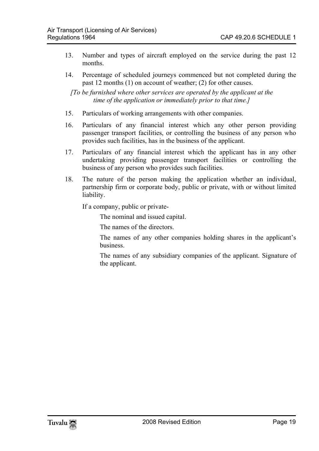- 13. Number and types of aircraft employed on the service during the past 12 months.
- 14. Percentage of scheduled journeys commenced but not completed during the past 12 months (1) on account of weather; (2) for other causes.

*[To be furnished where other services are operated by the applicant at the time of the application or immediately prior to that time.]* 

- 15. Particulars of working arrangements with other companies.
- 16. Particulars of any financial interest which any other person providing passenger transport facilities, or controlling the business of any person who provides such facilities, has in the business of the applicant.
- 17. Particulars of any financial interest which the applicant has in any other undertaking providing passenger transport facilities or controlling the business of any person who provides such facilities.
- 18. The nature of the person making the application whether an individual, partnership firm or corporate body, public or private, with or without limited liability.

If a company, public or private-

The nominal and issued capital.

The names of the directors.

The names of any other companies holding shares in the applicant's business.

The names of any subsidiary companies of the applicant. Signature of the applicant.

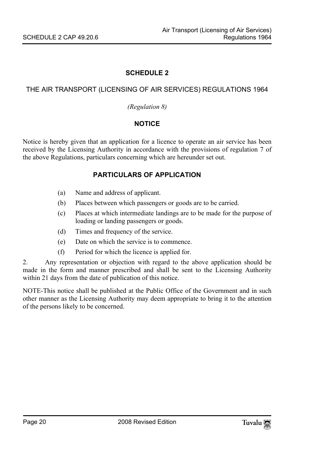#### THE AIR TRANSPORT (LICENSING OF AIR SERVICES) REGULATIONS 1964

#### <span id="page-19-1"></span><span id="page-19-0"></span>*(Regulation 8)*

#### **NOTICE**

Notice is hereby given that an application for a licence to operate an air service has been received by the Licensing Authority in accordance with the provisions of regulation 7 of the above Regulations, particulars concerning which are hereunder set out.

#### **PARTICULARS OF APPLICATION**

- (a) Name and address of applicant.
- (b) Places between which passengers or goods are to be carried.
- (c) Places at which intermediate landings are to be made for the purpose of loading or landing passengers or goods.
- (d) Times and frequency of the service.
- (e) Date on which the service is to commence.
- (f) Period for which the licence is applied for.

2. Any representation or objection with regard to the above application should be made in the form and manner prescribed and shall be sent to the Licensing Authority within 21 days from the date of publication of this notice.

NOTE-This notice shall be published at the Public Office of the Government and in such other manner as the Licensing Authority may deem appropriate to bring it to the attention of the persons likely to be concerned.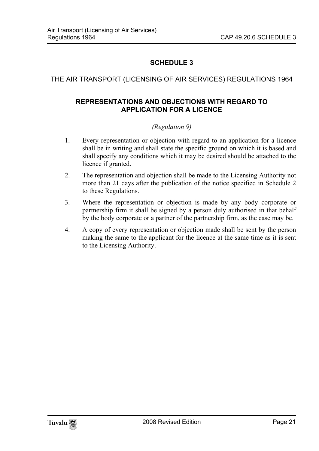#### THE AIR TRANSPORT (LICENSING OF AIR SERVICES) REGULATIONS 1964

#### <span id="page-20-1"></span>**REPRESENTATIONS AND OBJECTIONS WITH REGARD TO APPLICATION FOR A LICENCE**

#### <span id="page-20-0"></span>*(Regulation 9)*

- 1. Every representation or objection with regard to an application for a licence shall be in writing and shall state the specific ground on which it is based and shall specify any conditions which it may be desired should be attached to the licence if granted.
- 2. The representation and objection shall be made to the Licensing Authority not more than 21 days after the publication of the notice specified in Schedule 2 to these Regulations.
- 3. Where the representation or objection is made by any body corporate or partnership firm it shall be signed by a person duly authorised in that behalf by the body corporate or a partner of the partnership firm, as the case may be.
- 4. A copy of every representation or objection made shall be sent by the person making the same to the applicant for the licence at the same time as it is sent to the Licensing Authority.

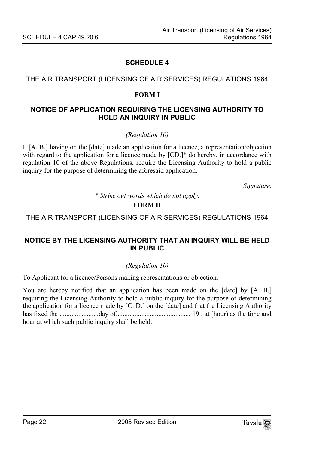#### <span id="page-21-1"></span>THE AIR TRANSPORT (LICENSING OF AIR SERVICES) REGULATIONS 1964

#### <span id="page-21-0"></span>**FORM I**

#### **NOTICE OF APPLICATION REQUIRING THE LICENSING AUTHORITY TO HOLD AN INQUIRY IN PUBLIC**

*(Regulation 10)* 

I, [A. B.] having on the [date] made an application for a licence, a representation/objection with regard to the application for a licence made by  $[CD.]^*$  do hereby, in accordance with regulation 10 of the above Regulations, require the Licensing Authority to hold a public inquiry for the purpose of determining the aforesaid application.

*Signature.* 

<span id="page-21-2"></span>*\* Strike out words which do not apply.* 

#### **FORM II**

THE AIR TRANSPORT (LICENSING OF AIR SERVICES) REGULATIONS 1964

#### **NOTICE BY THE LICENSING AUTHORITY THAT AN INQUIRY WILL BE HELD IN PUBLIC**

#### *(Regulation 10)*

To Applicant for a licence/Persons making representations or objection.

You are hereby notified that an application has been made on the [date] by [A. B.] requiring the Licensing Authority to hold a public inquiry for the purpose of determining the application for a licence made by [C. D.] on the [date] and that the Licensing Authority has fixed the .......................day of..........................................., 19 , at [hour) as the time and hour at which such public inquiry shall be held.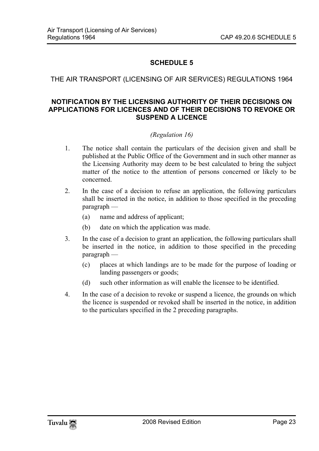#### <span id="page-22-0"></span>THE AIR TRANSPORT (LICENSING OF AIR SERVICES) REGULATIONS 1964

#### **NOTIFICATION BY THE LICENSING AUTHORITY OF THEIR DECISIONS ON APPLICATIONS FOR LICENCES AND OF THEIR DECISIONS TO REVOKE OR SUSPEND A LICENCE**

#### *(Regulation 16)*

- 1. The notice shall contain the particulars of the decision given and shall be published at the Public Office of the Government and in such other manner as the Licensing Authority may deem to be best calculated to bring the subject matter of the notice to the attention of persons concerned or likely to be concerned.
- 2. In the case of a decision to refuse an application, the following particulars shall be inserted in the notice, in addition to those specified in the preceding paragraph —
	- (a) name and address of applicant;
	- (b) date on which the application was made.
- 3. In the case of a decision to grant an application, the following particulars shall be inserted in the notice, in addition to those specified in the preceding paragraph —
	- (c) places at which landings are to be made for the purpose of loading or landing passengers or goods;
	- (d) such other information as will enable the licensee to be identified.
- 4. In the case of a decision to revoke or suspend a licence, the grounds on which the licence is suspended or revoked shall be inserted in the notice, in addition to the particulars specified in the 2 preceding paragraphs.

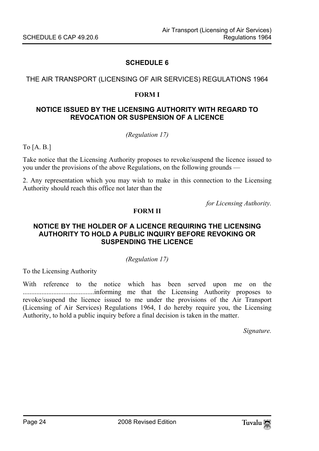#### <span id="page-23-1"></span>THE AIR TRANSPORT (LICENSING OF AIR SERVICES) REGULATIONS 1964

#### <span id="page-23-0"></span>**FORM I**

#### **NOTICE ISSUED BY THE LICENSING AUTHORITY WITH REGARD TO REVOCATION OR SUSPENSION OF A LICENCE**

*(Regulation 17)* 

To [A. B.]

Take notice that the Licensing Authority proposes to revoke/suspend the licence issued to you under the provisions of the above Regulations, on the following grounds —

<span id="page-23-2"></span>2. Any representation which you may wish to make in this connection to the Licensing Authority should reach this office not later than the

*for Licensing Authority.* 

#### **FORM II**

#### **NOTICE BY THE HOLDER OF A LICENCE REQUIRING THE LICENSING AUTHORITY TO HOLD A PUBLIC INQUIRY BEFORE REVOKING OR SUSPENDING THE LICENCE**

#### *(Regulation 17)*

To the Licensing Authority

With reference to the notice which has been served upon me on the ..........................................informing me that the Licensing Authority proposes to revoke/suspend the licence issued to me under the provisions of the Air Transport (Licensing of Air Services) Regulations 1964, I do hereby require you, the Licensing Authority, to hold a public inquiry before a final decision is taken in the matter.

*Signature.*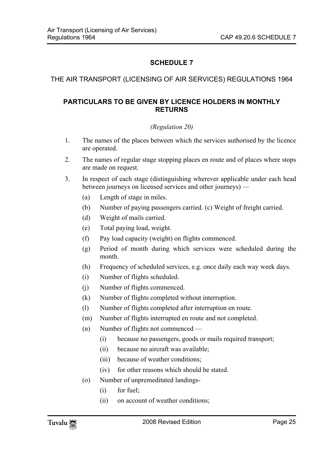#### <span id="page-24-1"></span>THE AIR TRANSPORT (LICENSING OF AIR SERVICES) REGULATIONS 1964

#### **PARTICULARS TO BE GIVEN BY LICENCE HOLDERS IN MONTHLY RETURNS**

#### <span id="page-24-0"></span>*(Regulation 20)*

- 1. The names of the places between which the services authorised by the licence are operated.
- 2. The names of regular stage stopping places en route and of places where stops are made on request.
- 3. In respect of each stage (distinguishing wherever applicable under each head between journeys on licensed services and other journeys) —
	- (a) Length of stage in miles.
	- (b) Number of paying passengers carried. (c) Weight of freight carried.
	- (d) Weight of mails carried.
	- (e) Total paying load, weight.
	- (f) Pay load capacity (weight) on flights commenced.
	- (g) Period of month during which services were scheduled during the month.
	- (h) Frequency of scheduled services, e.g. once daily each way week days.
	- (i) Number of flights scheduled.
	- (j) Number of flights commenced.
	- (k) Number of flights completed without interruption.
	- (l) Number of flights completed after interruption en route.
	- (m) Number of flights interrupted en route and not completed.
	- (n) Number of flights not commenced
		- (i) because no passengers, goods or mails required transport;
		- (ii) because no aircraft was available;
		- (iii) because of weather conditions;
		- (iv) for other reasons which should be stated.
	- (o) Number of unpremeditated landings-
		- (i) for fuel;
		- (ii) on account of weather conditions;